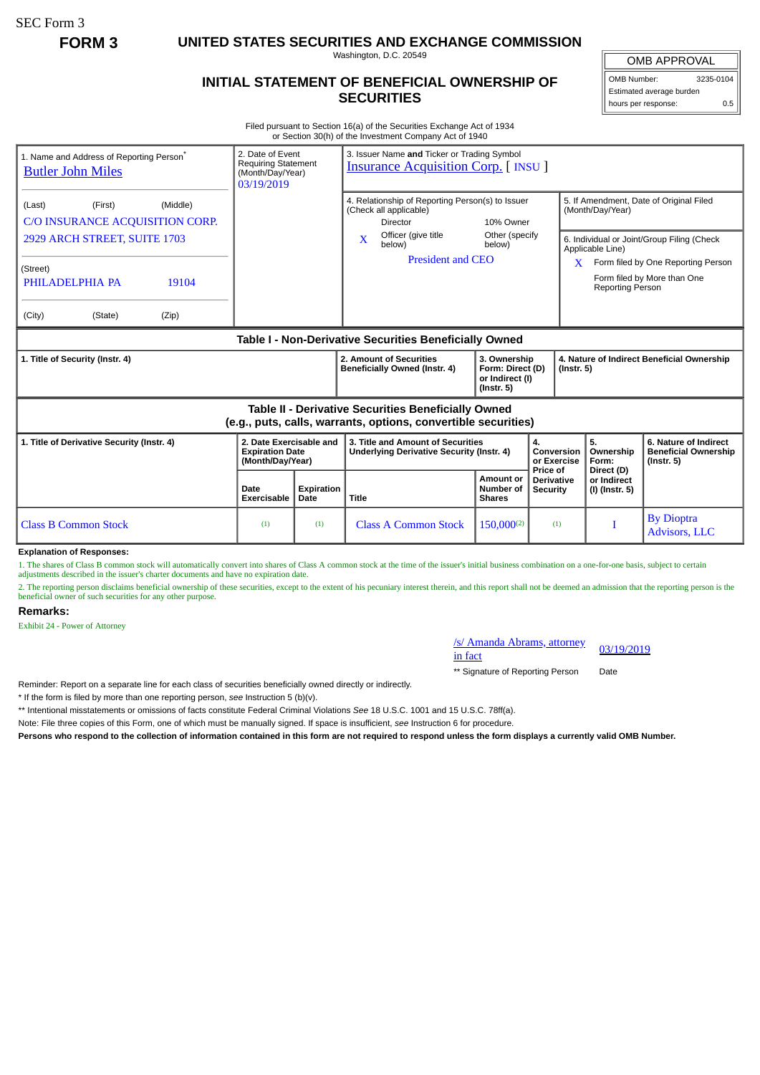SEC Form 3

**FORM 3 UNITED STATES SECURITIES AND EXCHANGE COMMISSION**

Washington, D.C. 20549

## **INITIAL STATEMENT OF BENEFICIAL OWNERSHIP OF SECURITIES**

OMB APPROVAL OMB Number: 3235-0104

Estimated average burden hours per response: 0.5

Filed pursuant to Section 16(a) of the Securities Exchange Act of 1934 or Section 30(h) of the Investment Company Act of 1940

|                                                                                                                       |                                 | 3. Issuer Name and Ticker or Trading Symbol<br><b>Insurance Acquisition Corp.</b> [INSU]      |                                                                                             |                                                                                                                   |                                                             |                                                                          |  |
|-----------------------------------------------------------------------------------------------------------------------|---------------------------------|-----------------------------------------------------------------------------------------------|---------------------------------------------------------------------------------------------|-------------------------------------------------------------------------------------------------------------------|-------------------------------------------------------------|--------------------------------------------------------------------------|--|
|                                                                                                                       |                                 | 4. Relationship of Reporting Person(s) to Issuer<br>(Check all applicable)<br><b>Director</b> |                                                                                             |                                                                                                                   | 5. If Amendment, Date of Original Filed<br>(Month/Day/Year) |                                                                          |  |
|                                                                                                                       | $\mathbf x$<br>below)<br>below) |                                                                                               |                                                                                             | 6. Individual or Joint/Group Filing (Check<br>Applicable Line)                                                    |                                                             |                                                                          |  |
|                                                                                                                       |                                 |                                                                                               |                                                                                             |                                                                                                                   |                                                             | Form filed by One Reporting Person<br>Form filed by More than One        |  |
|                                                                                                                       |                                 |                                                                                               |                                                                                             |                                                                                                                   |                                                             |                                                                          |  |
| Table I - Non-Derivative Securities Beneficially Owned                                                                |                                 |                                                                                               |                                                                                             |                                                                                                                   |                                                             |                                                                          |  |
| 1. Title of Security (Instr. 4)                                                                                       |                                 |                                                                                               | 3. Ownership<br>Form: Direct (D)<br>$($ Instr. 5 $)$<br>or Indirect (I)<br>$($ Instr. 5 $)$ |                                                                                                                   | 4. Nature of Indirect Beneficial Ownership                  |                                                                          |  |
| Table II - Derivative Securities Beneficially Owned<br>(e.g., puts, calls, warrants, options, convertible securities) |                                 |                                                                                               |                                                                                             |                                                                                                                   |                                                             |                                                                          |  |
| 2. Date Exercisable and<br><b>Expiration Date</b><br>(Month/Day/Year)                                                 |                                 |                                                                                               |                                                                                             | 4.<br>Conversion<br>or Exercise                                                                                   | 5.<br>Ownership<br>Form:                                    | 6. Nature of Indirect<br><b>Beneficial Ownership</b><br>$($ Instr. 5 $)$ |  |
| Date<br><b>Exercisable</b>                                                                                            |                                 | <b>Title</b>                                                                                  | Amount or<br>Number of<br><b>Shares</b>                                                     | <b>Derivative</b><br><b>Security</b>                                                                              | or Indirect<br>(I) (Instr. 5)                               |                                                                          |  |
| (1)                                                                                                                   | (1)                             | <b>Class A Common Stock</b>                                                                   | $150,000^{(2)}$                                                                             | (1)                                                                                                               |                                                             | <b>By Dioptra</b><br>Advisors, LLC                                       |  |
|                                                                                                                       |                                 | Expiration<br>Date                                                                            | Officer (give title<br>2. Amount of Securities<br>Beneficially Owned (Instr. 4)             | <b>President and CEO</b><br>3. Title and Amount of Securities<br><b>Underlying Derivative Security (Instr. 4)</b> | 10% Owner<br>Other (specify<br>Price of                     | X.<br><b>Reporting Person</b><br>Direct (D)                              |  |

**Explanation of Responses:**

1. The shares of Class B common stock will automatically convert into shares of Class A common stock at the time of the issuer's initial business combination on a one-for-one basis, subject to certain adjustments described in the issuer's charter documents and have no expiration date.

2. The reporting person disclaims beneficial ownership of these securities, except to the extent of his pecuniary interest therein, and this report shall not be deemed an admission that the reporting person is the beneficial owner of such securities for any other purpose.

#### **Remarks:**

Exhibit 24 - Power of Attorney

# /s/ Amanda Abrams, attorney 03/19/2019<br>in fact

\*\* Signature of Reporting Person Date

Reminder: Report on a separate line for each class of securities beneficially owned directly or indirectly.

\* If the form is filed by more than one reporting person, *see* Instruction 5 (b)(v).

\*\* Intentional misstatements or omissions of facts constitute Federal Criminal Violations *See* 18 U.S.C. 1001 and 15 U.S.C. 78ff(a).

Note: File three copies of this Form, one of which must be manually signed. If space is insufficient, *see* Instruction 6 for procedure.

**Persons who respond to the collection of information contained in this form are not required to respond unless the form displays a currently valid OMB Number.**